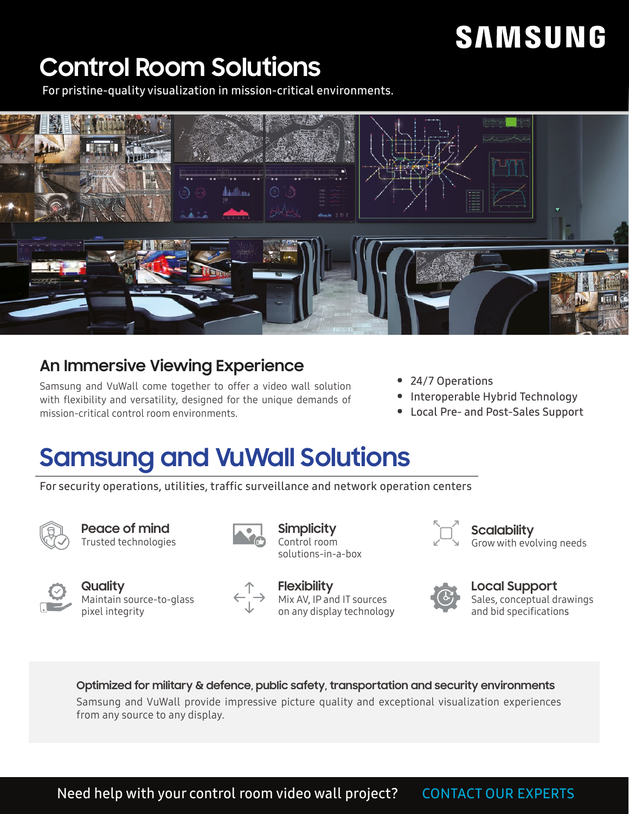### **Control Room Solutions**

For pristine-quality visualization in mission-critical environments.



### **An Immersive Viewing Experience**

Samsung and VuWall come together to offer a video wall solution with flexibility and versatility, designed for the unique demands of mission-critical control room environments.

- 24/7 Operations
- Interoperable Hybrid Technology
- Local Pre- and Post-Sales Support

### **Samsung and VuWall Solutions**

For security operations, utilities, traffic surveillance and network operation centers



**Peace of mind** Trusted technologies



**Quality** Maintain source-to-glass pixel integrity



**Simplicity** Control room solutions-in-a-box

**Flexibility** Mix AV, IP and IT sources on any display technology



**Scalability** Grow with evolving needs



**Local Support**

Sales, conceptual drawings and bid specifications

**Optimized for military & defence, public safety, transportation and security environments** Samsung and VuWall provide impressive picture quality and exceptional visualization experiences from any source to any display.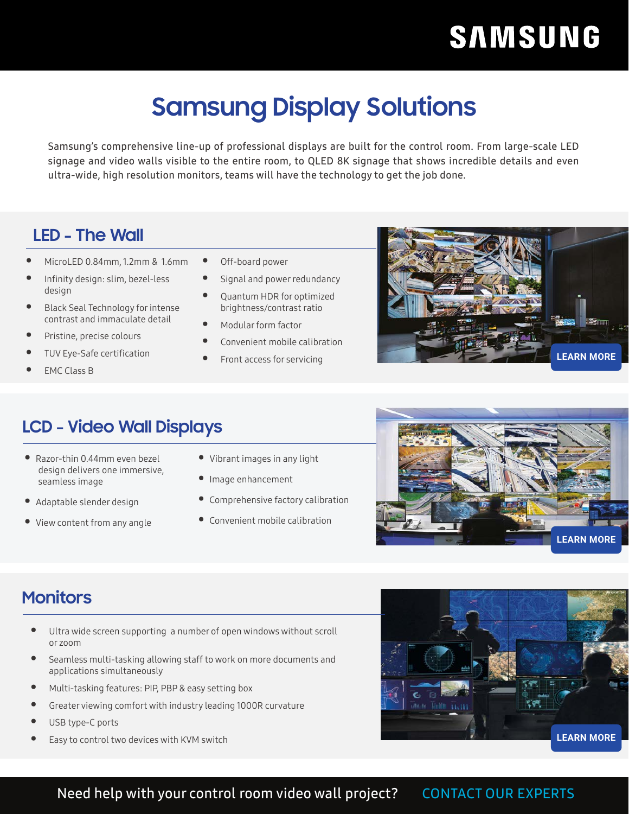### **Samsung Display Solutions**

Samsung's comprehensive line-up of professional displays are built for the control room. From large-scale LED signage and video walls visible to the entire room, to QLED 8K signage that shows incredible details and even ultra-wide, high resolution monitors, teams will have the technology to get the job done.

### **LED - The Wall**

- MicroLED 0.84mm, 1.2mm & 1.6mm
- Infinity design: slim, bezel-less design
- Black Seal Technology for intense contrast and immaculate detail
- Pristine, precise colours
- TUV Eye-Safe certification
- EMC Class B
- Off-board power
- Signal and power redundancy
- Quantum HDR for optimized brightness/contrast ratio
- Modular form factor
- Convenient mobile calibration
- Front access for servicing



### **LCD - Video Wall Displays**

- Razor-thin 0.44mm even bezel design delivers one immersive, seamless image
- Adaptable slender design
- View content from any angle
- Vibrant images in any light
- Image enhancement
- Comprehensive factory calibration
- Convenient mobile calibration



### **Monitors**

- Ultra wide screen supporting a number of open windows without scroll or zoom
- Seamless multi-tasking allowing staff to work on more documents and applications simultaneously
- Multi-tasking features: PIP, PBP & easy setting box
- Greater viewing comfort with industry leading 1000R curvature
- USB type-C ports
- Easy to control two devices with KVM switch



### Need help with your control room video wall project? [CONTACT OUR EXPERTS](http://vuwall.com/samsung-control-room-solutions/)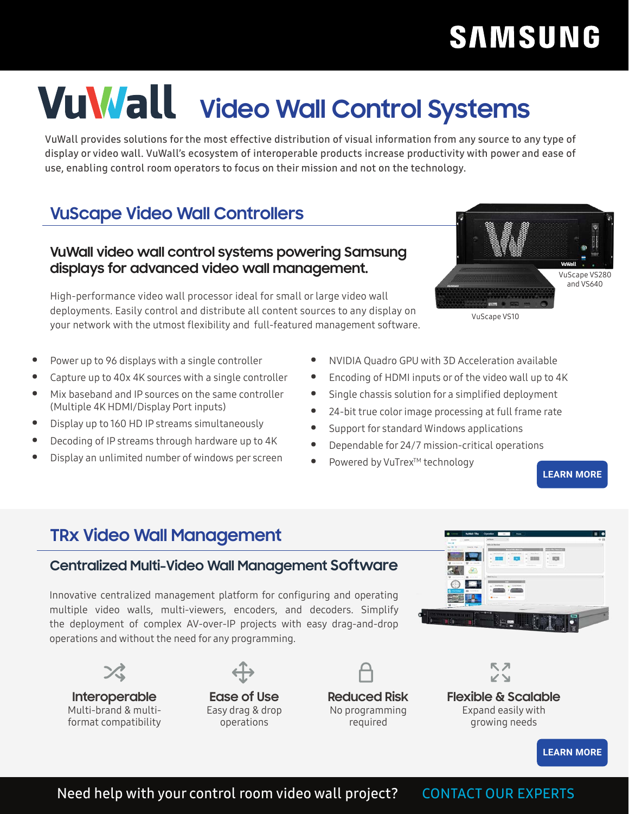# **VuWall** video Wall Control Systems

VuWall provides solutions for the most effective distribution of visual information from any source to any type of display or video wall. VuWall's ecosystem of interoperable products increase productivity with power and ease of use, enabling control room operators to focus on their mission and not on the technology.

### **VuScape Video Wall Controllers**

#### **VuWall video wall control systems powering Samsung displays for advanced video wall management.**

High-performance video wall processor ideal for small or large video wall deployments. Easily control and distribute all content sources to any display on your network with the utmost flexibility and full-featured management software.

- Power up to 96 displays with a single controller
- Capture up to 40x 4K sources with a single controller
- Mix baseband and IP sources on the same controller (Multiple 4K HDMI/Display Port inputs)
- Display up to 160 HD IP streams simultaneously
- Decoding of IP streams through hardware up to 4K
- Display an unlimited number of windows per screen
- NVIDIA Quadro GPU with 3D Acceleration available
- Encoding of HDMI inputs or of the video wall up to 4K
- Single chassis solution for a simplified deployment
- 24-bit true color image processing at full frame rate
- Support for standard Windows applications
- Dependable for 24/7 mission-critical operations
- Powered by VuTrex™ technology

**[LEARN MORE](https://vuwall.com/products/vuscape/)**

### **TRx Video Wall Management**

### **Centralized Multi-Video Wall Management Software**

Innovative centralized management platform for configuring and operating multiple video walls, multi-viewers, encoders, and decoders. Simplify the deployment of complex AV-over-IP projects with easy drag-and-drop operations and without the need for any programming.

**Interoperable** Multi-brand & multiformat compatibility



Easy drag & drop operations



**Reduced Risk** No programming required



**Flexible & Scalable** Expand easily with growing needs



Need help with your control room video wall project? [CONTACT OUR EXPERTS](http://vuwall.com/samsung-control-room-solutions/)